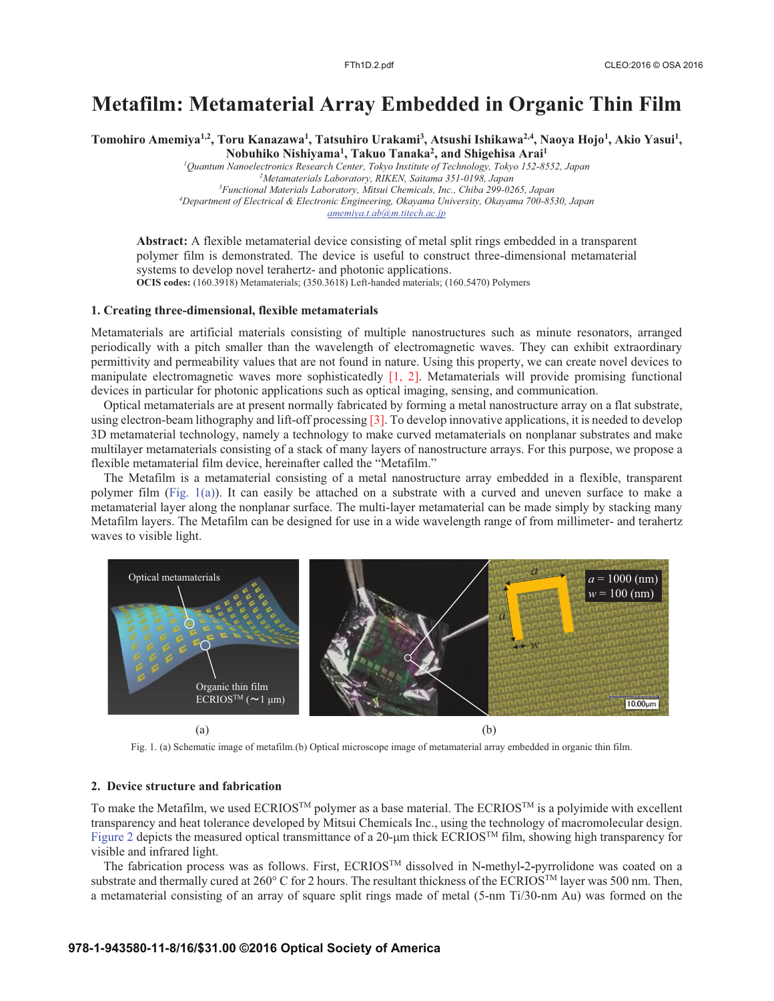# **Metafilm: Metamaterial Array Embedded in Organic Thin Film**

Tomohiro Amemiya<sup>1,2</sup>, Toru Kanazawa<sup>1</sup>, Tatsuhiro Urakami<sup>3</sup>, Atsushi Ishikawa<sup>2,4</sup>, Naoya Hojo<sup>1</sup>, Akio Yasui<sup>1</sup>, **Nobuhiko Nishiyama1 , Takuo Tanaka2 , and Shigehisa Arai1**

*1 Quantum Nanoelectronics Research Center, Tokyo Institute of Technology, Tokyo 152-8552, Japan 2 Metamaterials Laboratory, RIKEN, Saitama 351-0198, Japan 3 Functional Materials Laboratory, Mitsui Chemicals, Inc., Chiba 299-0265, Japan 4 Department of Electrical & Electronic Engineering, Okayama University, Okayama 700-8530, Japan amemiya.t.ab@m.titech.ac.jp*

**Abstract:** A flexible metamaterial device consisting of metal split rings embedded in a transparent polymer film is demonstrated. The device is useful to construct three-dimensional metamaterial systems to develop novel terahertz- and photonic applications. **OCIS codes:** (160.3918) Metamaterials; (350.3618) Left-handed materials; (160.5470) Polymers

### **1. Creating three-dimensional, flexible metamaterials**

Metamaterials are artificial materials consisting of multiple nanostructures such as minute resonators, arranged periodically with a pitch smaller than the wavelength of electromagnetic waves. They can exhibit extraordinary permittivity and permeability values that are not found in nature. Using this property, we can create novel devices to manipulate electromagnetic waves more sophisticatedly  $\begin{bmatrix} 1 \\ 2 \end{bmatrix}$ . Metamaterials will provide promising functional devices in particular for photonic applications such as optical imaging, sensing, and communication.

Optical metamaterials are at present normally fabricated by forming a metal nanostructure array on a flat substrate, using electron-beam lithography and lift-off processing [3]. To develop innovative applications, it is needed to develop 3D metamaterial technology, namely a technology to make curved metamaterials on nonplanar substrates and make multilayer metamaterials consisting of a stack of many layers of nanostructure arrays. For this purpose, we propose a flexible metamaterial film device, hereinafter called the "Metafilm."

The Metafilm is a metamaterial consisting of a metal nanostructure array embedded in a flexible, transparent polymer film (Fig. 1(a)). It can easily be attached on a substrate with a curved and uneven surface to make a metamaterial layer along the nonplanar surface. The multi-layer metamaterial can be made simply by stacking many Metafilm layers. The Metafilm can be designed for use in a wide wavelength range of from millimeter- and terahertz waves to visible light.



Fig. 1. (a) Schematic image of metafilm.(b) Optical microscope image of metamaterial array embedded in organic thin film.

## **2. Device structure and fabrication**

To make the Metafilm, we used ECRIOS<sup>TM</sup> polymer as a base material. The ECRIOS<sup>TM</sup> is a polyimide with excellent transparency and heat tolerance developed by Mitsui Chemicals Inc., using the technology of macromolecular design. Figure 2 depicts the measured optical transmittance of a 20-μm thick ECRIOSTM film, showing high transparency for visible and infrared light.

The fabrication process was as follows. First, ECRIOSTM dissolved in N**-**methyl**-**2**-**pyrrolidone was coated on a substrate and thermally cured at 260° C for 2 hours. The resultant thickness of the ECRIOS<sup>TM</sup> layer was 500 nm. Then, a metamaterial consisting of an array of square split rings made of metal (5-nm Ti/30-nm Au) was formed on the